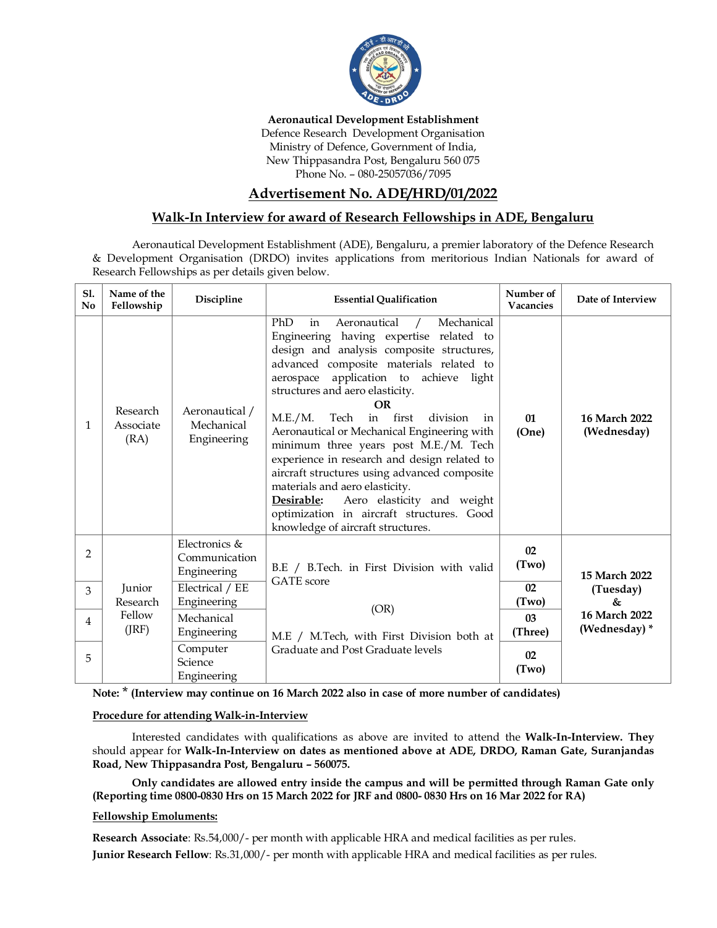

#### **Aeronautical Development Establishment**

Defence Research Development Organisation Ministry of Defence, Government of India, New Thippasandra Post, Bengaluru 560 075 Phone No. – 080-25057036/7095

# **Advertisement No. ADE/HRD/01/2022**

## **Walk-In Interview for award of Research Fellowships in ADE, Bengaluru**

Aeronautical Development Establishment (ADE), Bengaluru, a premier laboratory of the Defence Research & Development Organisation (DRDO) invites applications from meritorious Indian Nationals for award of Research Fellowships as per details given below.

| S1.<br>N <sub>0</sub> | Name of the<br>Fellowship             | Discipline                                    | <b>Essential Qualification</b>                                                                                                                                                                                                                                                                                                                                                                                                                                                                                                                                                                                                                                                   | Number of<br>Vacancies        | Date of Interview              |
|-----------------------|---------------------------------------|-----------------------------------------------|----------------------------------------------------------------------------------------------------------------------------------------------------------------------------------------------------------------------------------------------------------------------------------------------------------------------------------------------------------------------------------------------------------------------------------------------------------------------------------------------------------------------------------------------------------------------------------------------------------------------------------------------------------------------------------|-------------------------------|--------------------------------|
| 1                     | Research<br>Associate<br>(RA)         | Aeronautical /<br>Mechanical<br>Engineering   | PhD<br>Aeronautical<br>Mechanical<br>in<br>Engineering having expertise related to<br>design and analysis composite structures,<br>advanced composite materials related to<br>application to achieve light<br>aerospace<br>structures and aero elasticity.<br><b>OR</b><br>M.E./M.<br>Tech<br>in first<br>division<br>in<br>Aeronautical or Mechanical Engineering with<br>minimum three years post M.E./M. Tech<br>experience in research and design related to<br>aircraft structures using advanced composite<br>materials and aero elasticity.<br>Aero elasticity and weight<br>Desirable:<br>optimization in aircraft structures. Good<br>knowledge of aircraft structures. | $_{01}$<br>(One)              | 16 March 2022<br>(Wednesday)   |
| $\overline{2}$        | Junior<br>Research<br>Fellow<br>(JRF) | Electronics &<br>Communication<br>Engineering | B.E / B.Tech. in First Division with valid<br><b>GATE</b> score<br>(OR)<br>M.E / M.Tech, with First Division both at<br>Graduate and Post Graduate levels                                                                                                                                                                                                                                                                                                                                                                                                                                                                                                                        | 02<br>(Two)                   | 15 March 2022                  |
| 3                     |                                       | Electrical / EE<br>Engineering                |                                                                                                                                                                                                                                                                                                                                                                                                                                                                                                                                                                                                                                                                                  | 02<br>(Tuesday)<br>(Two)<br>& |                                |
| 4                     |                                       | Mechanical<br>Engineering                     |                                                                                                                                                                                                                                                                                                                                                                                                                                                                                                                                                                                                                                                                                  | 0 <sub>3</sub><br>(Three)     | 16 March 2022<br>(Wednesday) * |
| 5                     |                                       | Computer<br>Science<br>Engineering            |                                                                                                                                                                                                                                                                                                                                                                                                                                                                                                                                                                                                                                                                                  | 02<br>(Two)                   |                                |

**Note:** \* **(Interview may continue on 16 March 2022 also in case of more number of candidates)**

### **Procedure for attending Walk-in-Interview**

Interested candidates with qualifications as above are invited to attend the **Walk-In-Interview. They**  should appear for **Walk-In-Interview on dates as mentioned above at ADE, DRDO, Raman Gate, Suranjandas Road, New Thippasandra Post, Bengaluru – 560075.** 

**Only candidates are allowed entry inside the campus and will be permitted through Raman Gate only (Reporting time 0800-0830 Hrs on 15 March 2022 for JRF and 0800- 0830 Hrs on 16 Mar 2022 for RA)**

### **Fellowship Emoluments:**

**Research Associate**: Rs.54,000/- per month with applicable HRA and medical facilities as per rules. **Junior Research Fellow**: Rs.31,000/- per month with applicable HRA and medical facilities as per rules.